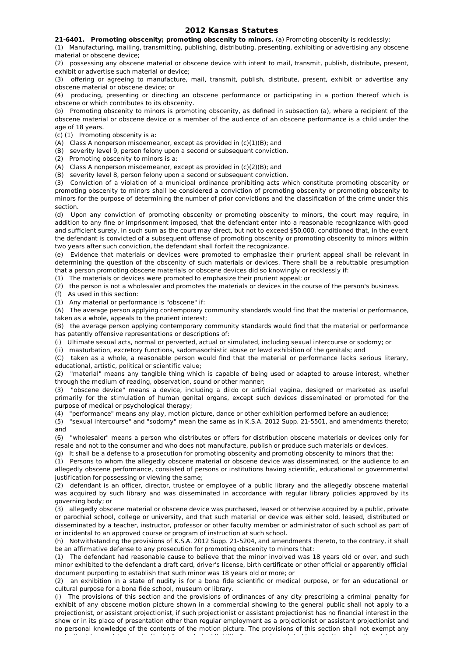## **2012 Kansas Statutes**

**21-6401. Promoting obscenity; promoting obscenity to minors.** (a) Promoting obscenity is recklessly:

(1) Manufacturing, mailing, transmitting, publishing, distributing, presenting, exhibiting or advertising any obscene material or obscene device;

(2) possessing any obscene material or obscene device with intent to mail, transmit, publish, distribute, present, exhibit or advertise such material or device;

(3) offering or agreeing to manufacture, mail, transmit, publish, distribute, present, exhibit or advertise any obscene material or obscene device; or

(4) producing, presenting or directing an obscene performance or participating in a portion thereof which is obscene or which contributes to its obscenity.

(b) Promoting obscenity to minors is promoting obscenity, as defined in subsection (a), where a recipient of the obscene material or obscene device or a member of the audience of an obscene performance is a child under the age of 18 years.

(c) (1) Promoting obscenity is a:

(A) Class A nonperson misdemeanor, except as provided in (c)(1)(B); and

(B) severity level 9, person felony upon a second or subsequent conviction.

(2) Promoting obscenity to minors is a:

(A) Class A nonperson misdemeanor, except as provided in (c)(2)(B); and

(B) severity level 8, person felony upon a second or subsequent conviction.

(3) Conviction of a violation of a municipal ordinance prohibiting acts which constitute promoting obscenity or promoting obscenity to minors shall be considered a conviction of promoting obscenity or promoting obscenity to minors for the purpose of determining the number of prior convictions and the classification of the crime under this section.

(d) Upon any conviction of promoting obscenity or promoting obscenity to minors, the court may require, in addition to any fine or imprisonment imposed, that the defendant enter into a reasonable recognizance with good and sufficient surety, in such sum as the court may direct, but not to exceed \$50,000, conditioned that, in the event the defendant is convicted of a subsequent offense of promoting obscenity or promoting obscenity to minors within two years after such conviction, the defendant shall forfeit the recognizance.

(e) Evidence that materials or devices were promoted to emphasize their prurient appeal shall be relevant in determining the question of the obscenity of such materials or devices. There shall be a rebuttable presumption that a person promoting obscene materials or obscene devices did so knowingly or recklessly if:

(1) The materials or devices were promoted to emphasize their prurient appeal; or

(2) the person is not a wholesaler and promotes the materials or devices in the course of the person's business.

(f) As used in this section:

(1) Any material or performance is "obscene" if:

(A) The average person applying contemporary community standards would find that the material or performance, taken as a whole, appeals to the prurient interest;

(B) the average person applying contemporary community standards would find that the material or performance has patently offensive representations or descriptions of:

(i) Ultimate sexual acts, normal or perverted, actual or simulated, including sexual intercourse or sodomy; or

(ii) masturbation, excretory functions, sadomasochistic abuse or lewd exhibition of the genitals; and

(C) taken as a whole, a reasonable person would find that the material or performance lacks serious literary, educational, artistic, political or scientific value;

(2) "material" means any tangible thing which is capable of being used or adapted to arouse interest, whether through the medium of reading, observation, sound or other manner;

(3) "obscene device" means a device, including a dildo or artificial vagina, designed or marketed as useful primarily for the stimulation of human genital organs, except such devices disseminated or promoted for the purpose of medical or psychological therapy;

(4) "performance" means any play, motion picture, dance or other exhibition performed before an audience;

(5) "sexual intercourse" and "sodomy" mean the same as in K.S.A. 2012 Supp. 21-5501, and amendments thereto; and

(6) "wholesaler" means a person who distributes or offers for distribution obscene materials or devices only for resale and not to the consumer and who does not manufacture, publish or produce such materials or devices.

(g) It shall be a defense to a prosecution for promoting obscenity and promoting obscenity to minors that the:

(1) Persons to whom the allegedly obscene material or obscene device was disseminated, or the audience to an allegedly obscene performance, consisted of persons or institutions having scientific, educational or governmental justification for possessing or viewing the same;

(2) defendant is an officer, director, trustee or employee of a public library and the allegedly obscene material was acquired by such library and was disseminated in accordance with regular library policies approved by its governing body; or

(3) allegedly obscene material or obscene device was purchased, leased or otherwise acquired by a public, private or parochial school, college or university, and that such material or device was either sold, leased, distributed or disseminated by a teacher, instructor, professor or other faculty member or administrator of such school as part of or incidental to an approved course or program of instruction at such school.

(h) Notwithstanding the provisions of K.S.A. 2012 Supp. 21-5204, and amendments thereto, to the contrary, it shall be an affirmative defense to any prosecution for promoting obscenity to minors that:

(1) The defendant had reasonable cause to believe that the minor involved was 18 years old or over, and such minor exhibited to the defendant a draft card, driver's license, birth certificate or other official or apparently official document purporting to establish that such minor was 18 years old or more; or

(2) an exhibition in a state of nudity is for a bona fide scientific or medical purpose, or for an educational or cultural purpose for a bona fide school, museum or library.

(i) The provisions of this section and the provisions of ordinances of any city prescribing a criminal penalty for exhibit of any obscene motion picture shown in a commercial showing to the general public shall not apply to a projectionist, or assistant projectionist, if such projectionist or assistant projectionist has no financial interest in the show or in its place of presentation other than regular employment as a projectionist or assistant projectionist and no personal knowledge of the contents of the motion picture. The provisions of this section shall not exempt any projectionist or assistant projectionist from criminal liability for any act unrelated to projection of motion pictures in